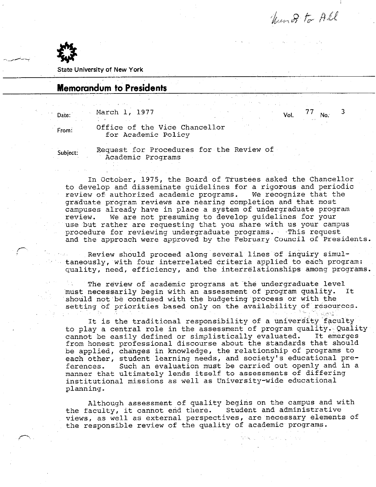hund to All

No.  $3$ 



State University of New York

## Memorandum to Presidents

 $\mu_{\text{Date}}$ : March 1, 1977 Vol. 77  $\sim$  .

From: Office of the Vice Chancellor for Academic Policy

Subject: Request for Procedures for the Review of Academic Programs

In October, 1975, the Board of Trustees asked the Chancellor to develop and disseminate guidelines for a rigorous and periodic<br>review of authorized academic programs. We recognize that the review of authorized academic programs. graduate program reviews are nearing completion and that most campuses already have in place a system of undergraduate program review. We are not presuming to develop guidelines for your use but rather are requesting that you share with us your campus procedure for reviewing undergraduate programs. This request and the approach were approved by the February Council df'presidents.

Review should proceed along several lines of inquiry simultaneously, with four interrelated criteria applied to each program: quality, need, efficiency, and 'the interrelationships among programs.

The review of academic programs at the undergraduate level must necessarily begin with an assessment of program quality. It should not be confused with the budgeting process or with the setting of priorities based only on the availability of resources.  $\sim$  :

It is the traditional responsibility of a university faculty to play a central role in the assessment of program quality. Quality<br>cannot be easily defined or simplistically evaluated. It emerges cannot be easily defined or simplistically evaluated. from honest professional discourse about the standards that should be applied, changes in knowledge, the relationship of programs to each other, student learning needs, and society's educational preferences. Such an evaluation must be carried out openly and in a manner that ultimately lends itself to assessments of differing institutional missions as well as University-wide educational planning.

Although assessment of quality begins on the campus and with<br>aculty, it cannot end there. Student and administrative the faculty, it cannot end there. views, as well as external perspectives, are necessary elements of the responsible review of the quality of academic programs.